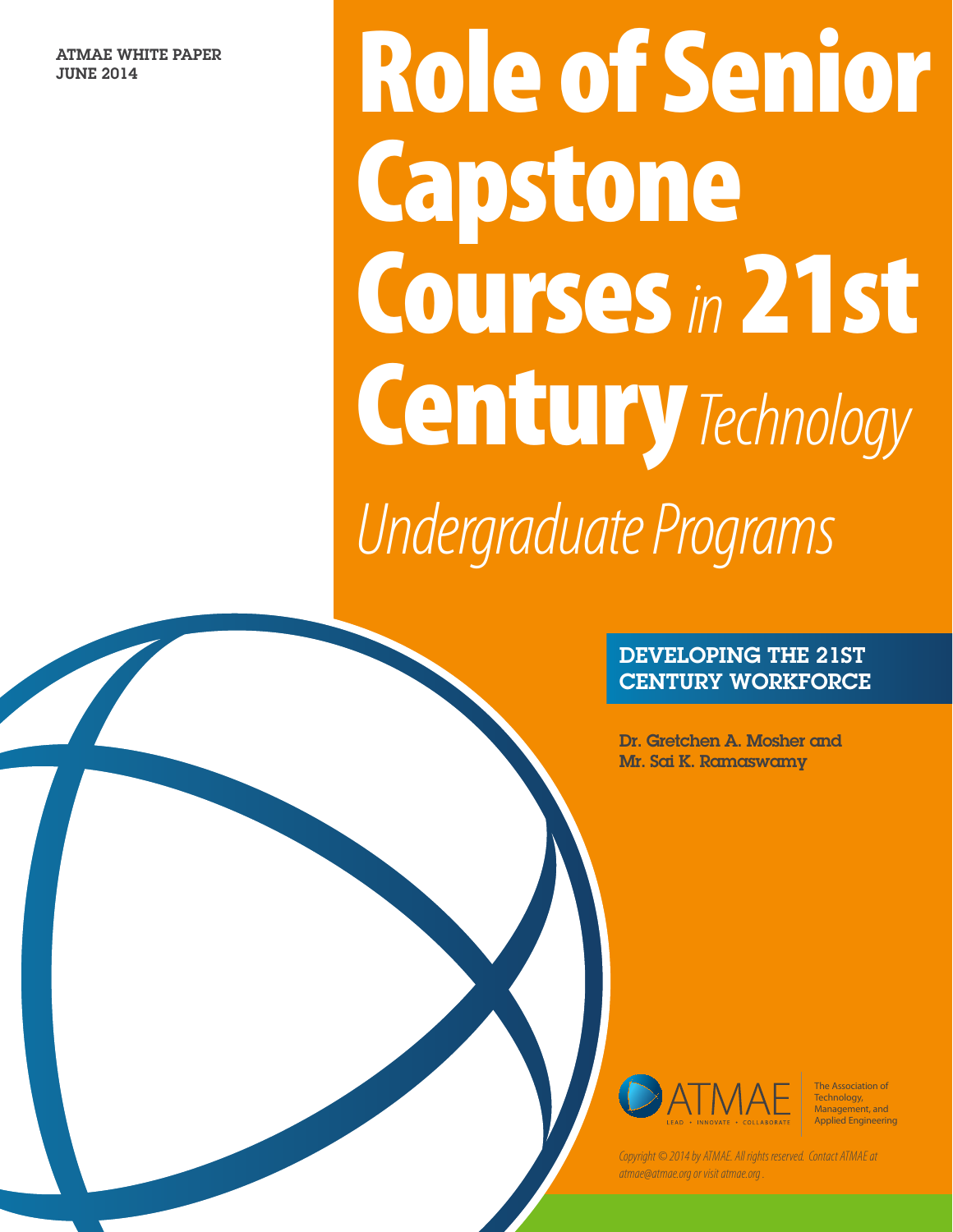ATMAE WHITE PAPER

# ATMAE WHITE PAPER ROLE OF Senior Capstone Courses *in* 21st Century *Technology Undergraduate Programs*

#### DEVELOPING THE 21ST CENTURY WORKFORCE

Dr. Gretchen A. Mosher and Mr. Sai K. Ramaswamy



The Association of Technology, Management, and Applied Engineering

*Copyright © 2014 by ATMAE. All rights reserved. Contact ATMAE at atmae@atmae.org or visit atmae.org .*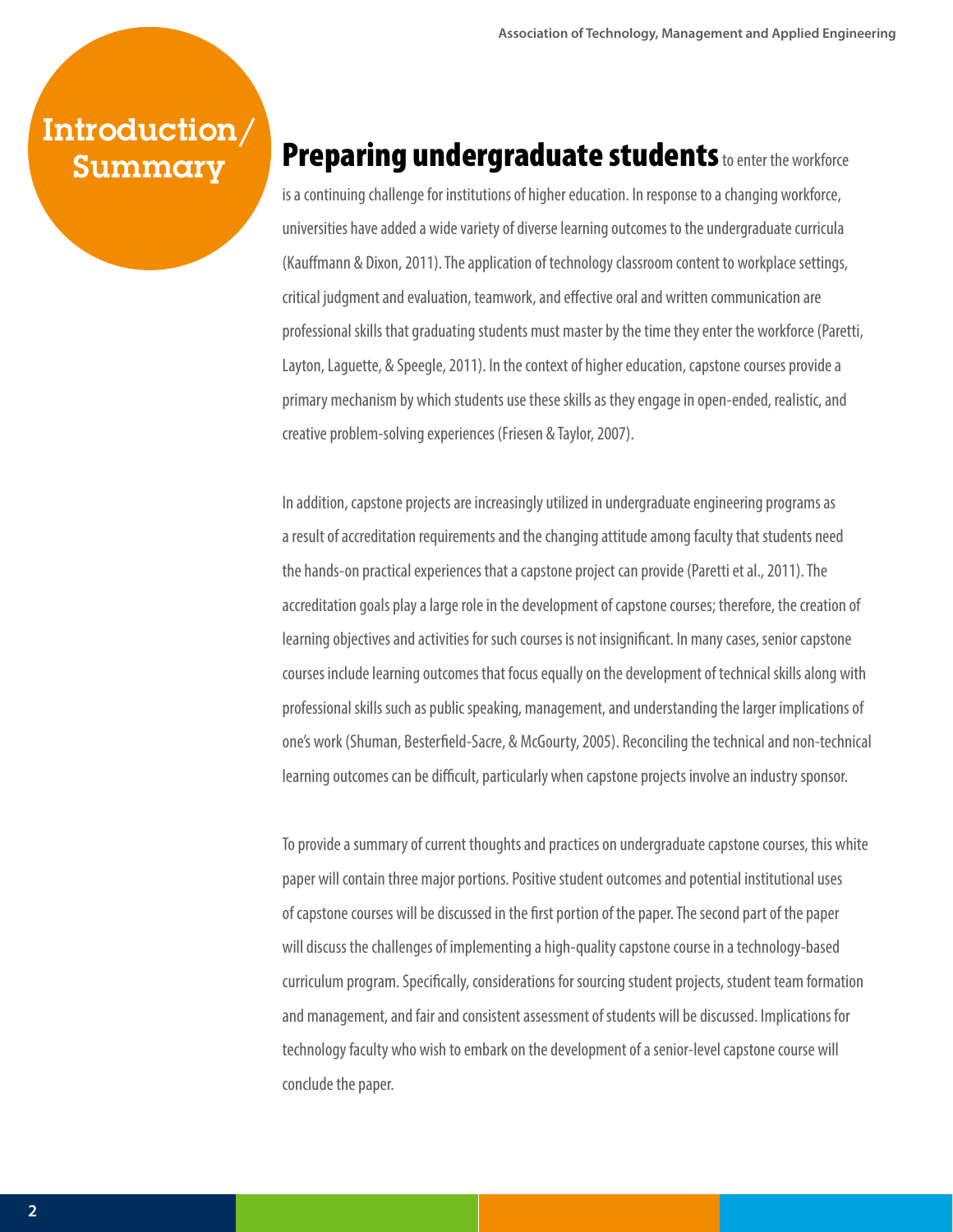## Introduction/

## Summary Preparing undergraduate students to enter the workforce

is a continuing challenge for institutions of higher education. In response to a changing workforce, universities have added a wide variety of diverse learning outcomes to the undergraduate curricula (Kauffmann & Dixon, 2011). The application of technology classroom content to workplace settings, critical judgment and evaluation, teamwork, and effective oral and written communication are professional skills that graduating students must master by the time they enter the workforce (Paretti, Layton, Laguette, & Speegle, 2011). In the context of higher education, capstone courses provide a primary mechanism by which students use these skills as they engage in open-ended, realistic, and creative problem-solving experiences (Friesen & Taylor, 2007).

In addition, capstone projects are increasingly utilized in undergraduate engineering programs as a result of accreditation requirements and the changing attitude among faculty that students need the hands-on practical experiences that a capstone project can provide (Paretti et al., 2011). The accreditation goals play a large role in the development of capstone courses; therefore, the creation of learning objectives and activities for such courses is not insignificant. In many cases, senior capstone courses include learning outcomes that focus equally on the development of technical skills along with professional skills such as public speaking, management, and understanding the larger implications of one's work (Shuman, Besterfield-Sacre, & McGourty, 2005). Reconciling the technical and non-technical learning outcomes can be difficult, particularly when capstone projects involve an industry sponsor.

To provide a summary of current thoughts and practices on undergraduate capstone courses, this white paper will contain three major portions. Positive student outcomes and potential institutional uses of capstone courses will be discussed in the first portion of the paper. The second part of the paper will discuss the challenges of implementing a high-quality capstone course in a technology-based curriculum program. Specifically, considerations for sourcing student projects, student team formation and management, and fair and consistent assessment of students will be discussed. Implications for technology faculty who wish to embark on the development of a senior-level capstone course will conclude the paper.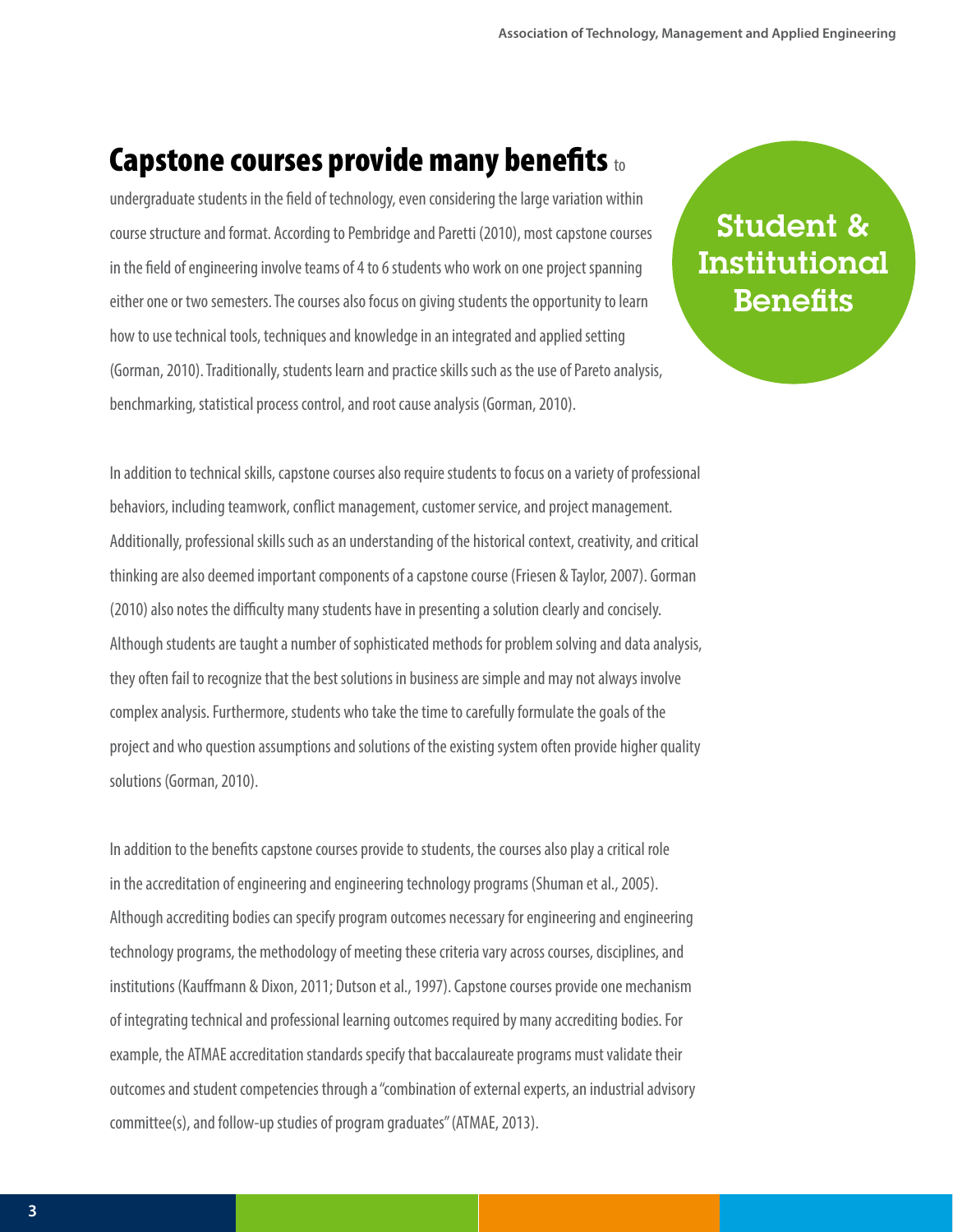## Capstone courses provide many benefits  $_{\rm to}$

undergraduate students in the field of technology, even considering the large variation within course structure and format. According to Pembridge and Paretti (2010), most capstone courses in the field of engineering involve teams of 4 to 6 students who work on one project spanning either one or two semesters. The courses also focus on giving students the opportunity to learn how to use technical tools, techniques and knowledge in an integrated and applied setting (Gorman, 2010). Traditionally, students learn and practice skills such as the use of Pareto analysis, benchmarking, statistical process control, and root cause analysis (Gorman, 2010).

## Student & Institutional **Benefits**

In addition to technical skills, capstone courses also require students to focus on a variety of professional behaviors, including teamwork, conflict management, customer service, and project management. Additionally, professional skills such as an understanding of the historical context, creativity, and critical thinking are also deemed important components of a capstone course (Friesen & Taylor, 2007). Gorman (2010) also notes the difficulty many students have in presenting a solution clearly and concisely. Although students are taught a number of sophisticated methods for problem solving and data analysis, they often fail to recognize that the best solutions in business are simple and may not always involve complex analysis. Furthermore, students who take the time to carefully formulate the goals of the project and who question assumptions and solutions of the existing system often provide higher quality solutions (Gorman, 2010).

In addition to the benefits capstone courses provide to students, the courses also play a critical role in the accreditation of engineering and engineering technology programs (Shuman et al., 2005). Although accrediting bodies can specify program outcomes necessary for engineering and engineering technology programs, the methodology of meeting these criteria vary across courses, disciplines, and institutions (Kauffmann & Dixon, 2011; Dutson et al., 1997). Capstone courses provide one mechanism of integrating technical and professional learning outcomes required by many accrediting bodies. For example, the ATMAE accreditation standards specify that baccalaureate programs must validate their outcomes and student competencies through a "combination of external experts, an industrial advisory committee(s), and follow-up studies of program graduates" (ATMAE, 2013).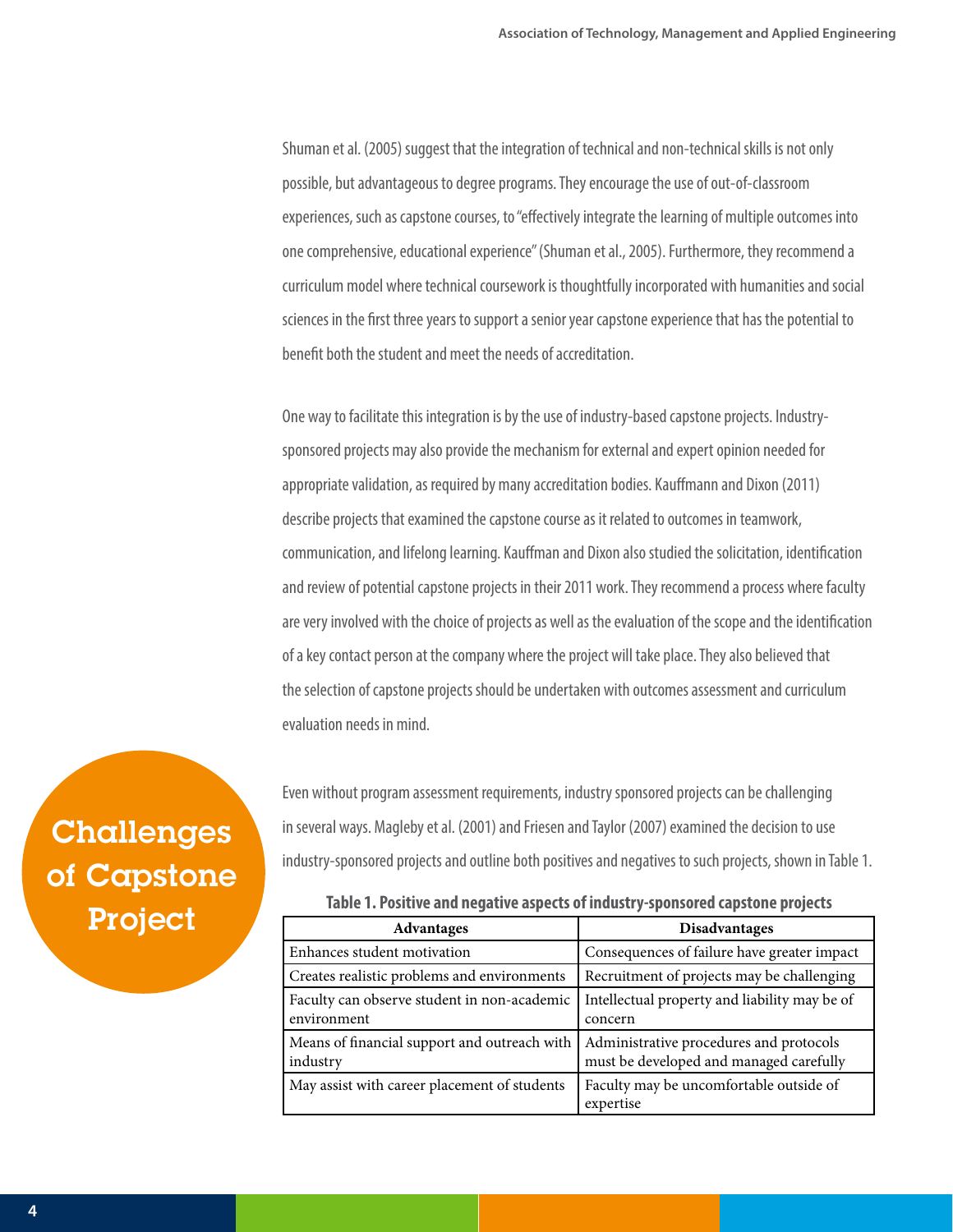Shuman et al. (2005) suggest that the integration of technical and non-technical skills is not only possible, but advantageous to degree programs. They encourage the use of out-of-classroom experiences, such as capstone courses, to "effectively integrate the learning of multiple outcomes into one comprehensive, educational experience" (Shuman et al., 2005). Furthermore, they recommend a curriculum model where technical coursework is thoughtfully incorporated with humanities and social sciences in the first three years to support a senior year capstone experience that has the potential to benefit both the student and meet the needs of accreditation.

One way to facilitate this integration is by the use of industry-based capstone projects. Industrysponsored projects may also provide the mechanism for external and expert opinion needed for appropriate validation, as required by many accreditation bodies. Kauffmann and Dixon (2011) describe projects that examined the capstone course as it related to outcomes in teamwork, communication, and lifelong learning. Kauffman and Dixon also studied the solicitation, identification and review of potential capstone projects in their 2011 work. They recommend a process where faculty are very involved with the choice of projects as well as the evaluation of the scope and the identification of a key contact person at the company where the project will take place. They also believed that the selection of capstone projects should be undertaken with outcomes assessment and curriculum evaluation needs in mind.

Even without program assessment requirements, industry sponsored projects can be challenging in several ways. Magleby et al. (2001) and Friesen and Taylor (2007) examined the decision to use industry-sponsored projects and outline both positives and negatives to such projects, shown in Table 1.

| <b>Advantages</b>                                          | <b>Disadvantages</b>                                                               |
|------------------------------------------------------------|------------------------------------------------------------------------------------|
| Enhances student motivation                                | Consequences of failure have greater impact                                        |
| Creates realistic problems and environments                | Recruitment of projects may be challenging                                         |
| Faculty can observe student in non-academic<br>environment | Intellectual property and liability may be of<br>concern                           |
| Means of financial support and outreach with<br>industry   | Administrative procedures and protocols<br>must be developed and managed carefully |
| May assist with career placement of students               | Faculty may be uncomfortable outside of<br>expertise                               |

#### **Table 1. Positive and negative aspects of industry-sponsored capstone projects**

Challenges of Capstone Project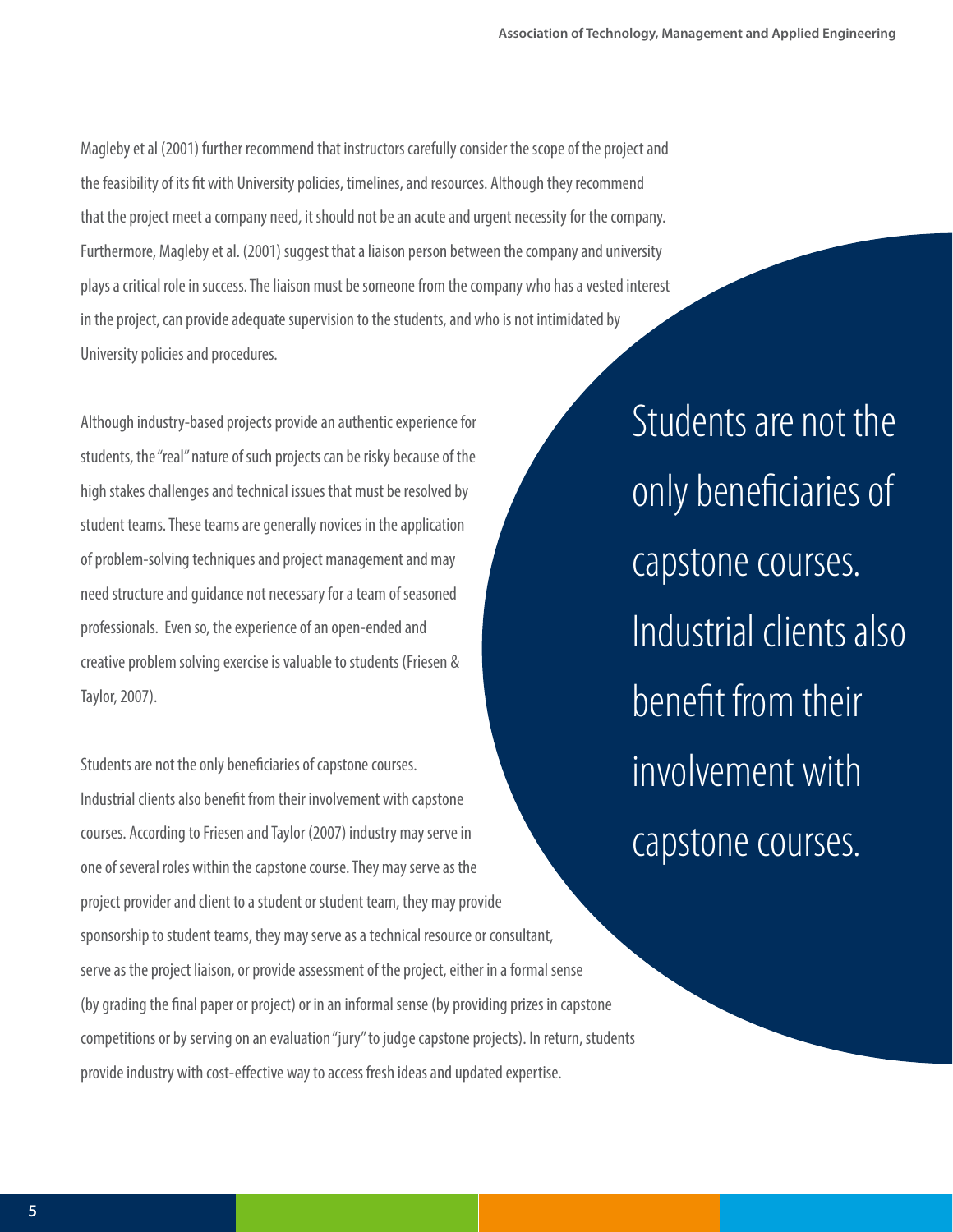Magleby et al (2001) further recommend that instructors carefully consider the scope of the project and the feasibility of its fit with University policies, timelines, and resources. Although they recommend that the project meet a company need, it should not be an acute and urgent necessity for the company. Furthermore, Magleby et al. (2001) suggest that a liaison person between the company and university plays a critical role in success. The liaison must be someone from the company who has a vested interest in the project, can provide adequate supervision to the students, and who is not intimidated by University policies and procedures.

Although industry-based projects provide an authentic experience for students, the "real" nature of such projects can be risky because of the high stakes challenges and technical issues that must be resolved by student teams. These teams are generally novices in the application of problem-solving techniques and project management and may need structure and guidance not necessary for a team of seasoned professionals. Even so, the experience of an open-ended and creative problem solving exercise is valuable to students (Friesen & Taylor, 2007).

Students are not the only beneficiaries of capstone courses. Industrial clients also benefit from their involvement with capstone courses. According to Friesen and Taylor (2007) industry may serve in one of several roles within the capstone course. They may serve as the project provider and client to a student or student team, they may provide sponsorship to student teams, they may serve as a technical resource or consultant, serve as the project liaison, or provide assessment of the project, either in a formal sense (by grading the final paper or project) or in an informal sense (by providing prizes in capstone competitions or by serving on an evaluation "jury" to judge capstone projects). In return, students provide industry with cost-effective way to access fresh ideas and updated expertise.

Students are not the only beneficiaries of capstone courses. Industrial clients also benefit from their involvement with capstone courses.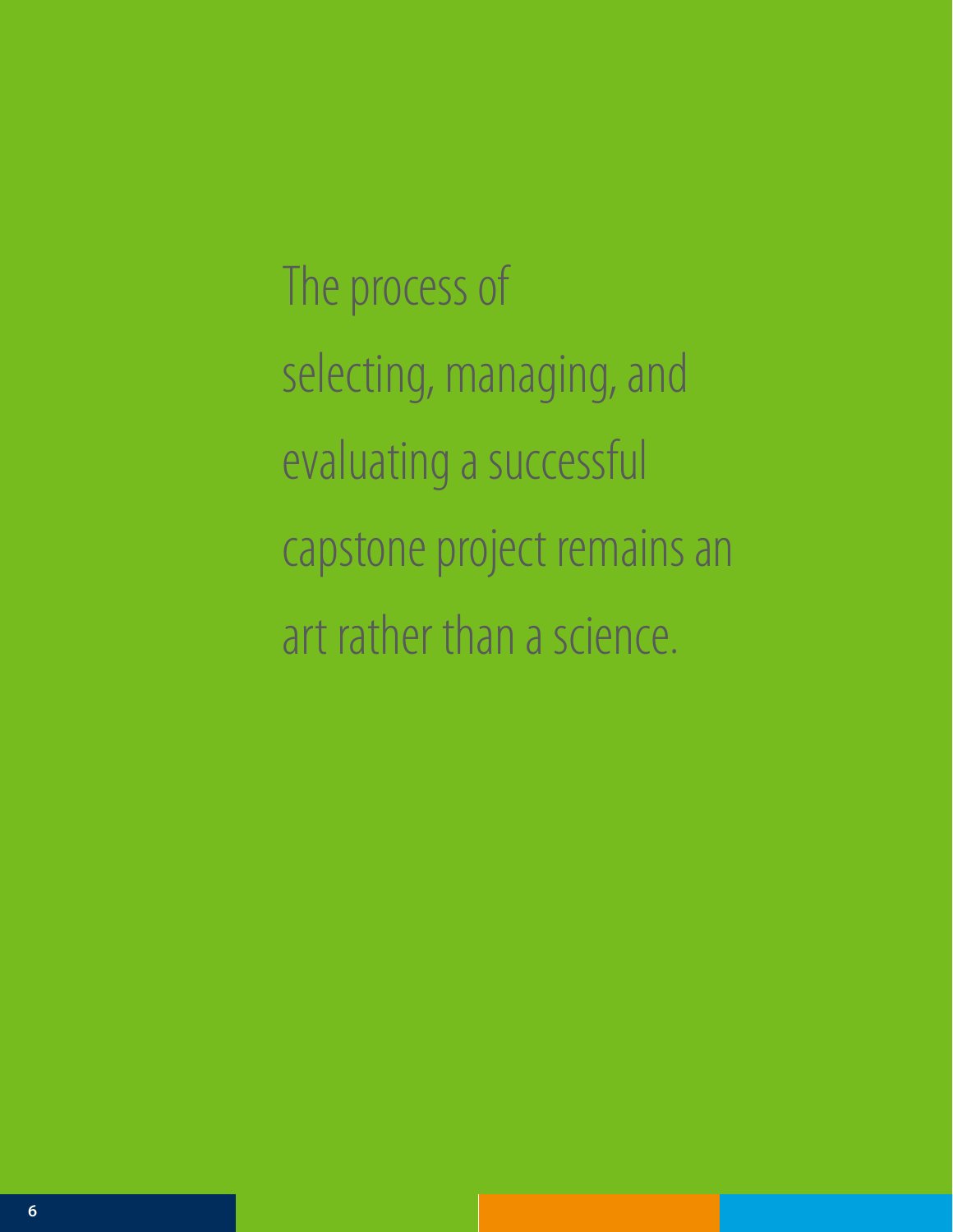The process of selecting, managing, and evaluating a successful capstone project remains an art rather than a science.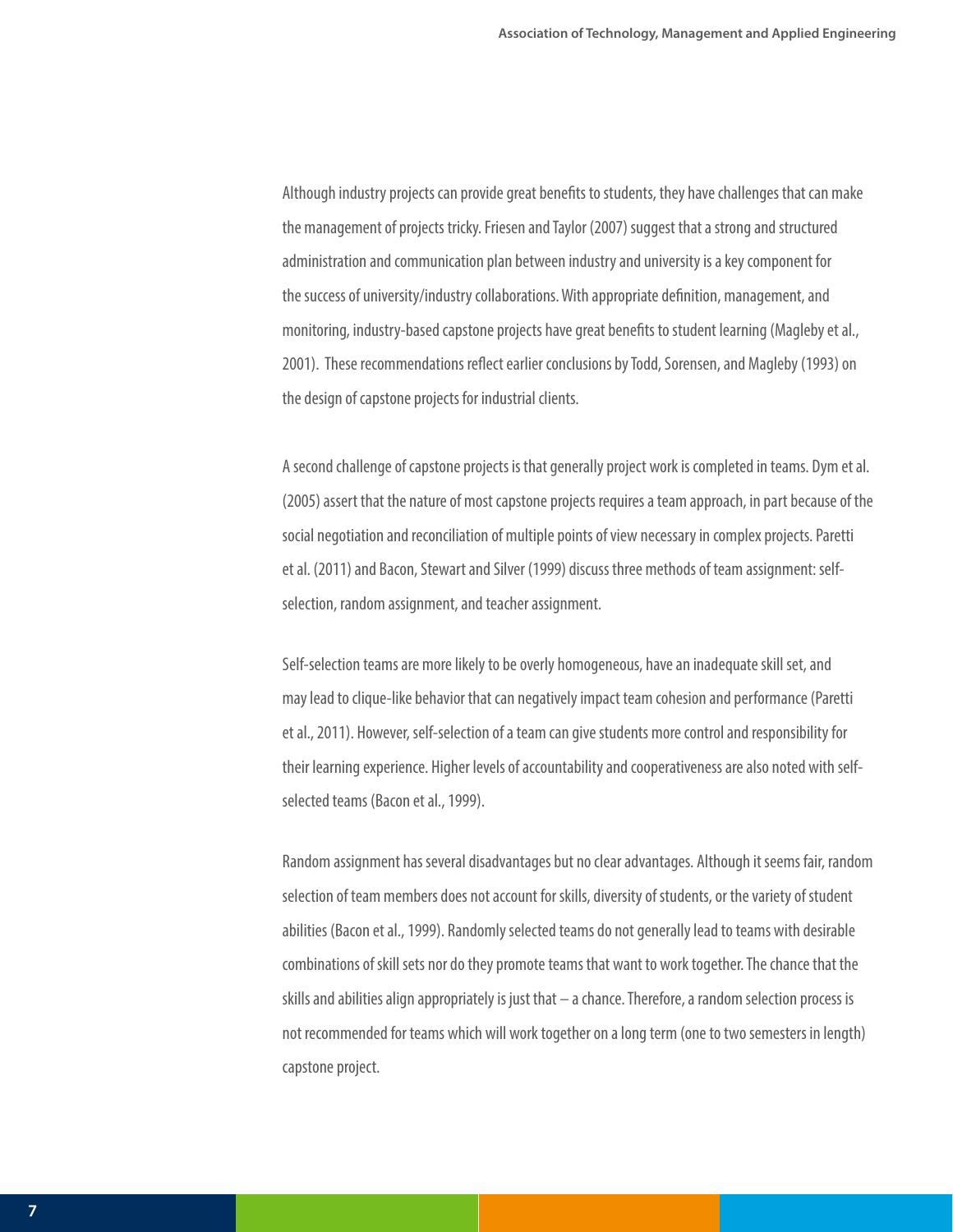Although industry projects can provide great benefits to students, they have challenges that can make the management of projects tricky. Friesen and Taylor (2007) suggest that a strong and structured administration and communication plan between industry and university is a key component for the success of university/industry collaborations. With appropriate definition, management, and monitoring, industry-based capstone projects have great benefits to student learning (Magleby et al., 2001). These recommendations reflect earlier conclusions by Todd, Sorensen, and Magleby (1993) on the design of capstone projects for industrial clients.

A second challenge of capstone projects is that generally project work is completed in teams. Dym et al. (2005) assert that the nature of most capstone projects requires a team approach, in part because of the social negotiation and reconciliation of multiple points of view necessary in complex projects. Paretti et al. (2011) and Bacon, Stewart and Silver (1999) discuss three methods of team assignment: selfselection, random assignment, and teacher assignment.

Self-selection teams are more likely to be overly homogeneous, have an inadequate skill set, and may lead to clique-like behavior that can negatively impact team cohesion and performance (Paretti et al., 2011). However, self-selection of a team can give students more control and responsibility for their learning experience. Higher levels of accountability and cooperativeness are also noted with selfselected teams (Bacon et al., 1999).

Random assignment has several disadvantages but no clear advantages. Although it seems fair, random selection of team members does not account for skills, diversity of students, or the variety of student abilities (Bacon et al., 1999). Randomly selected teams do not generally lead to teams with desirable combinations of skill sets nor do they promote teams that want to work together. The chance that the skills and abilities align appropriately is just that – a chance. Therefore, a random selection process is not recommended for teams which will work together on a long term (one to two semesters in length) capstone project.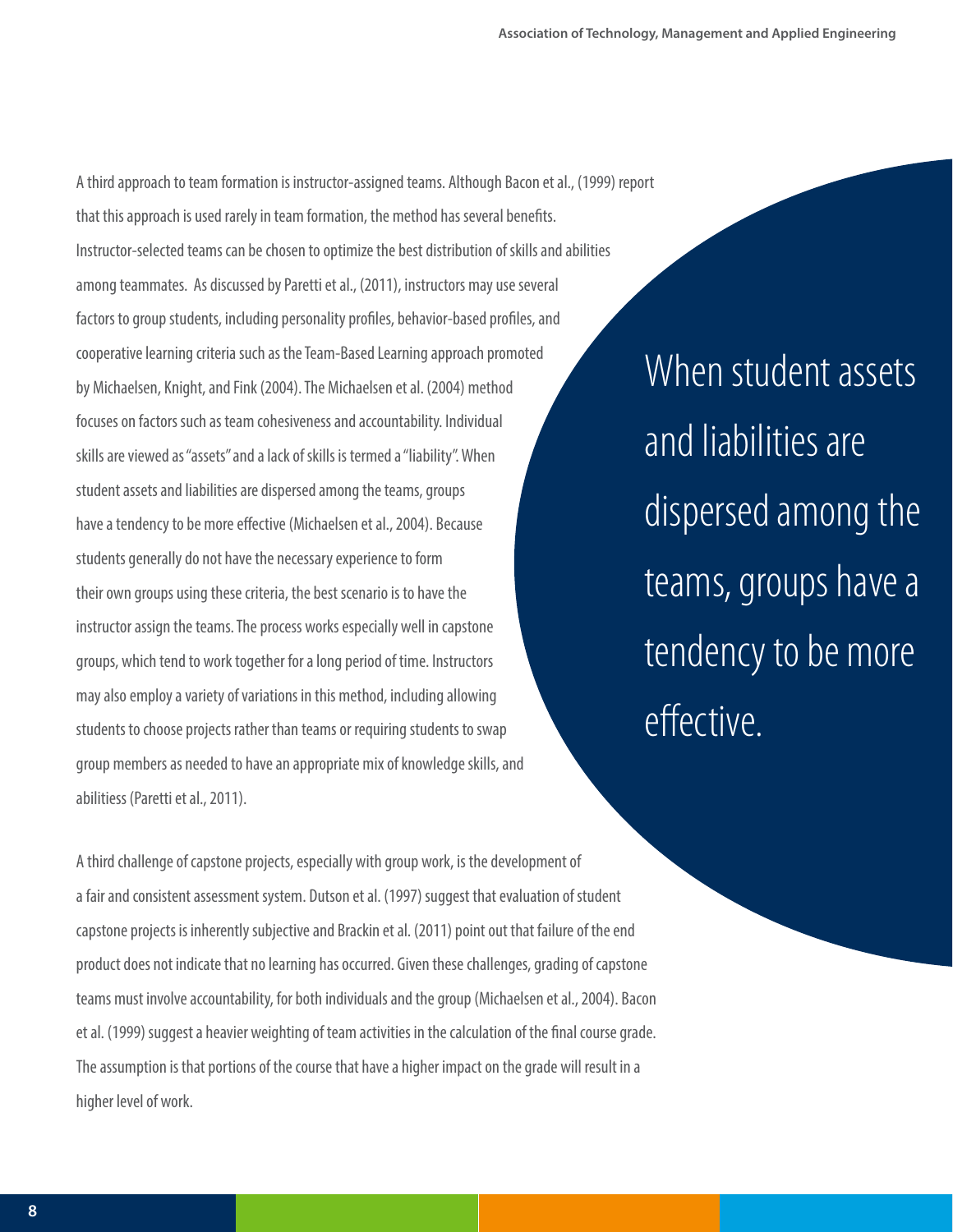A third approach to team formation is instructor-assigned teams. Although Bacon et al., (1999) report that this approach is used rarely in team formation, the method has several benefits. Instructor-selected teams can be chosen to optimize the best distribution of skills and abilities among teammates. As discussed by Paretti et al., (2011), instructors may use several factors to group students, including personality profiles, behavior-based profiles, and cooperative learning criteria such as the Team-Based Learning approach promoted by Michaelsen, Knight, and Fink (2004). The Michaelsen et al. (2004) method focuses on factors such as team cohesiveness and accountability. Individual skills are viewed as "assets" and a lack of skills is termed a "liability". When student assets and liabilities are dispersed among the teams, groups have a tendency to be more effective (Michaelsen et al., 2004). Because students generally do not have the necessary experience to form their own groups using these criteria, the best scenario is to have the instructor assign the teams. The process works especially well in capstone groups, which tend to work together for a long period of time. Instructors may also employ a variety of variations in this method, including allowing students to choose projects rather than teams or requiring students to swap group members as needed to have an appropriate mix of knowledge skills, and abilitiess (Paretti et al., 2011).

When student assets and liabilities are dispersed among the teams, groups have a tendency to be more effective.

A third challenge of capstone projects, especially with group work, is the development of a fair and consistent assessment system. Dutson et al. (1997) suggest that evaluation of student capstone projects is inherently subjective and Brackin et al. (2011) point out that failure of the end product does not indicate that no learning has occurred. Given these challenges, grading of capstone teams must involve accountability, for both individuals and the group (Michaelsen et al., 2004). Bacon et al. (1999) suggest a heavier weighting of team activities in the calculation of the final course grade. The assumption is that portions of the course that have a higher impact on the grade will result in a higher level of work.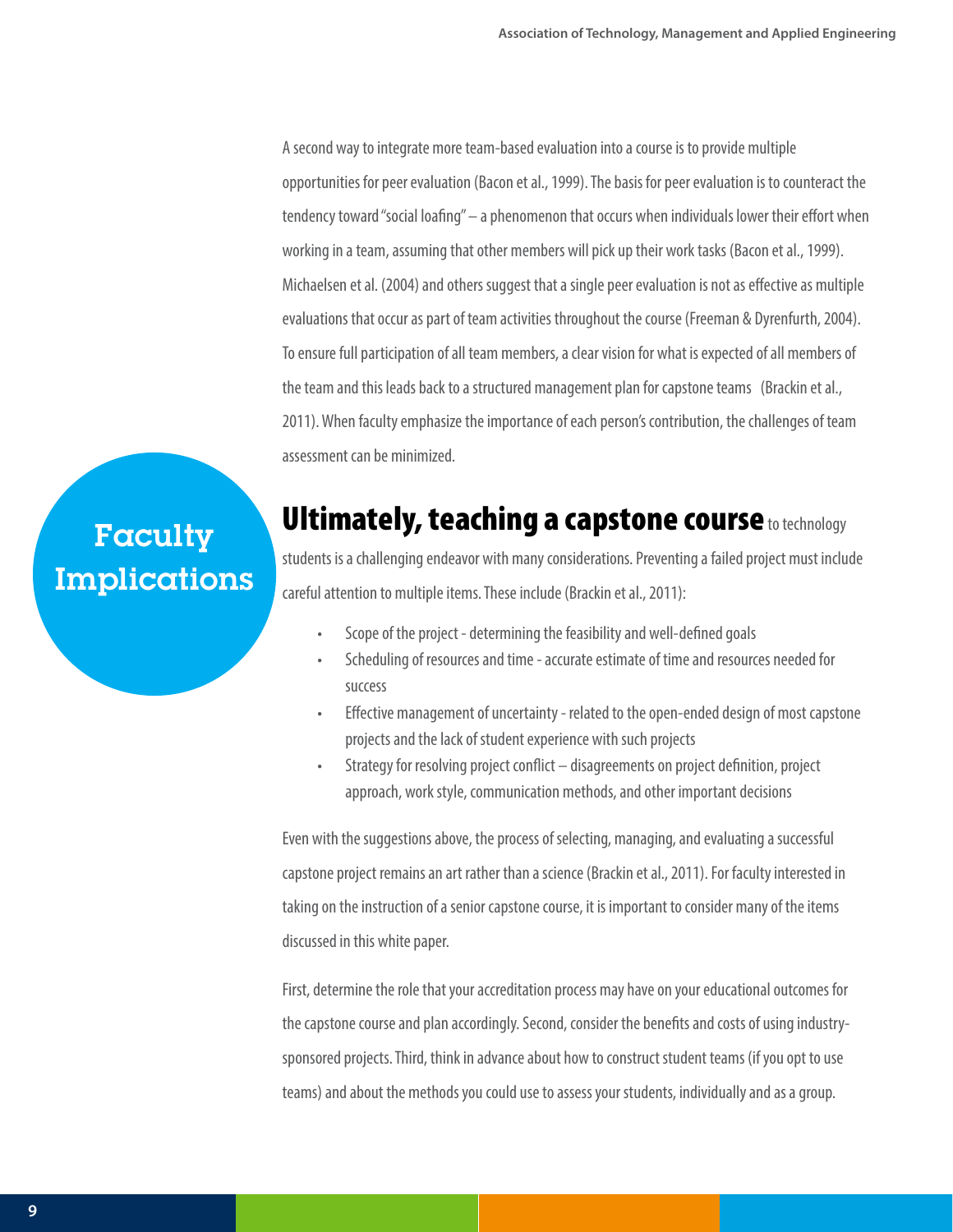A second way to integrate more team-based evaluation into a course is to provide multiple opportunities for peer evaluation (Bacon et al., 1999). The basis for peer evaluation is to counteract the tendency toward "social loafing" – a phenomenon that occurs when individuals lower their effort when working in a team, assuming that other members will pick up their work tasks (Bacon et al., 1999). Michaelsen et al. (2004) and others suggest that a single peer evaluation is not as effective as multiple evaluations that occur as part of team activities throughout the course (Freeman & Dyrenfurth, 2004). To ensure full participation of all team members, a clear vision for what is expected of all members of the team and this leads back to a structured management plan for capstone teams (Brackin et al., 2011). When faculty emphasize the importance of each person's contribution, the challenges of team assessment can be minimized.

## Ultimately, teaching a capstone course to technology

## Faculty Implications

students is a challenging endeavor with many considerations. Preventing a failed project must include careful attention to multiple items. These include (Brackin et al., 2011):

- Scope of the project determining the feasibility and well-defined goals
- Scheduling of resources and time accurate estimate of time and resources needed for success
- Effective management of uncertainty related to the open-ended design of most capstone projects and the lack of student experience with such projects
- Strategy for resolving project conflict disagreements on project definition, project approach, work style, communication methods, and other important decisions

Even with the suggestions above, the process of selecting, managing, and evaluating a successful capstone project remains an art rather than a science (Brackin et al., 2011). For faculty interested in taking on the instruction of a senior capstone course, it is important to consider many of the items discussed in this white paper.

First, determine the role that your accreditation process may have on your educational outcomes for the capstone course and plan accordingly. Second, consider the benefits and costs of using industrysponsored projects. Third, think in advance about how to construct student teams (if you opt to use teams) and about the methods you could use to assess your students, individually and as a group.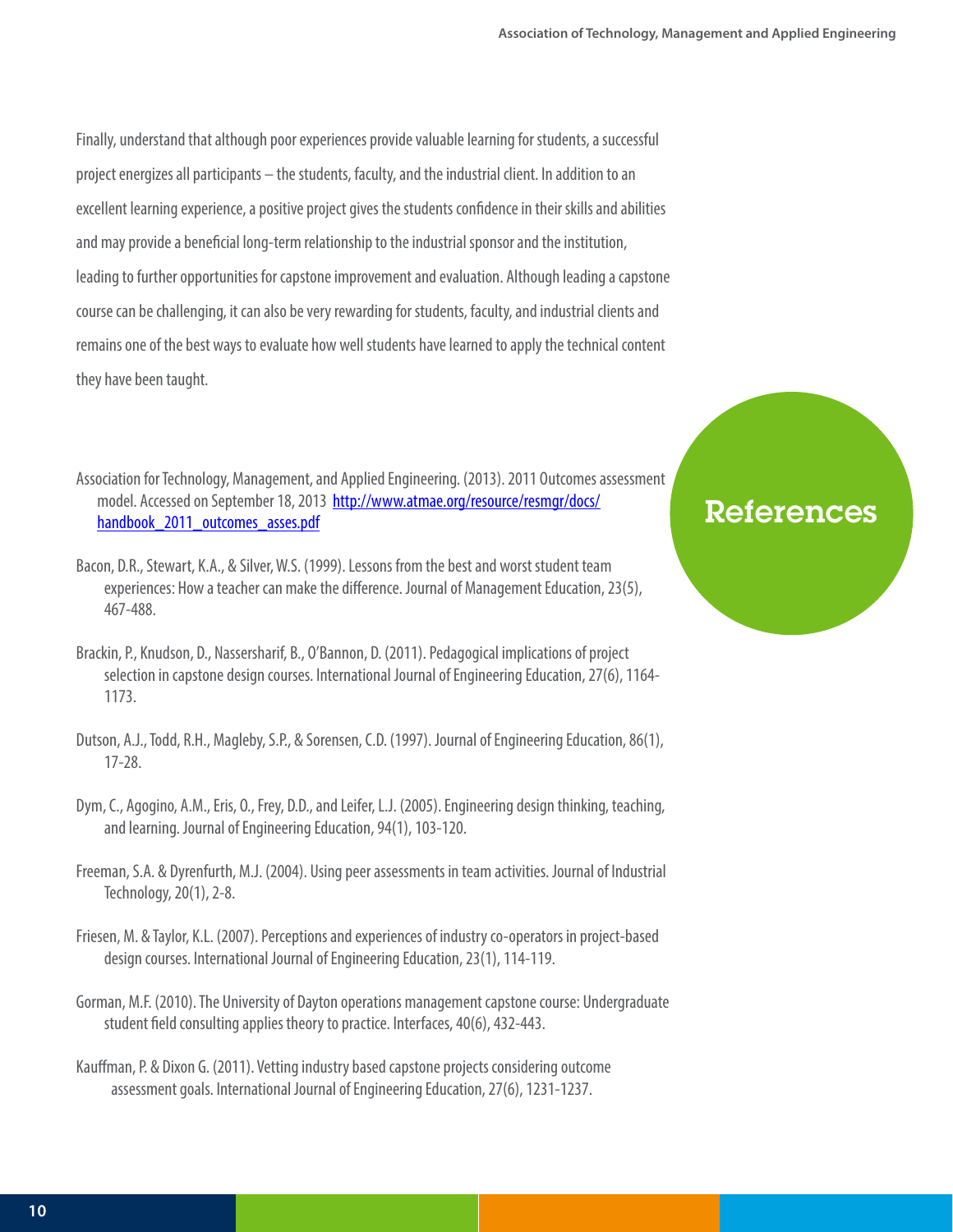Finally, understand that although poor experiences provide valuable learning for students, a successful project energizes all participants – the students, faculty, and the industrial client. In addition to an excellent learning experience, a positive project gives the students confidence in their skills and abilities and may provide a beneficial long-term relationship to the industrial sponsor and the institution, leading to further opportunities for capstone improvement and evaluation. Although leading a capstone course can be challenging, it can also be very rewarding for students, faculty, and industrial clients and remains one of the best ways to evaluate how well students have learned to apply the technical content they have been taught.

Association for Technology, Management, and Applied Engineering. (2013). 2011 Outcomes assessment [model. Accessed on September 18, 2013 http://www.atmae.org/resource/resmgr/docs/](http://c.ymcdn.com/sites/atmae.site-ym.com/resource/resmgr/Docs/Handbook_2011_Outcomes_Asses.pdf) handbook 2011 outcomes asses.pdf

- Bacon, D.R., Stewart, K.A., & Silver, W.S. (1999). Lessons from the best and worst student team experiences: How a teacher can make the difference. Journal of Management Education, 23(5), 467-488.
- Brackin, P., Knudson, D., Nassersharif, B., O'Bannon, D. (2011). Pedagogical implications of project selection in capstone design courses. International Journal of Engineering Education, 27(6), 1164- 1173.
- Dutson, A.J., Todd, R.H., Magleby, S.P., & Sorensen, C.D. (1997). Journal of Engineering Education, 86(1), 17-28.
- Dym, C., Agogino, A.M., Eris, O., Frey, D.D., and Leifer, L.J. (2005). Engineering design thinking, teaching, and learning. Journal of Engineering Education, 94(1), 103-120.
- Freeman, S.A. & Dyrenfurth, M.J. (2004). Using peer assessments in team activities. Journal of Industrial Technology, 20(1), 2-8.
- Friesen, M. & Taylor, K.L. (2007). Perceptions and experiences of industry co-operators in project-based design courses. International Journal of Engineering Education, 23(1), 114-119.
- Gorman, M.F. (2010). The University of Dayton operations management capstone course: Undergraduate student field consulting applies theory to practice. Interfaces, 40(6), 432-443.
- Kauffman, P. & Dixon G. (2011). Vetting industry based capstone projects considering outcome assessment goals. International Journal of Engineering Education, 27(6), 1231-1237.

#### References